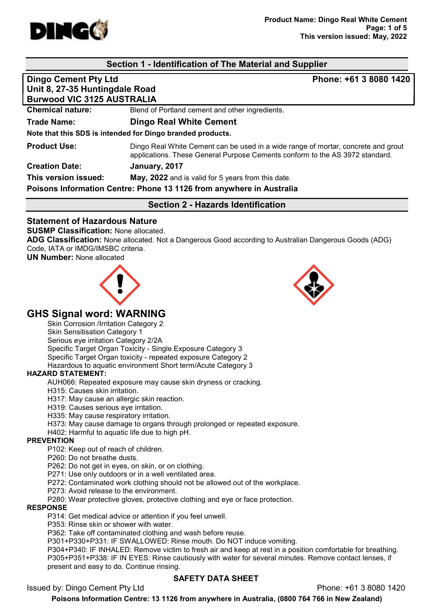

## Section 1 - Identification of The Material and Supplier

| <b>Dingo Cement Pty Ltd</b>                                         | Phone: +61 3 8080 1420                                                                                                                                            |  |  |  |
|---------------------------------------------------------------------|-------------------------------------------------------------------------------------------------------------------------------------------------------------------|--|--|--|
| Unit 8, 27-35 Huntingdale Road<br><b>Burwood VIC 3125 AUSTRALIA</b> |                                                                                                                                                                   |  |  |  |
|                                                                     |                                                                                                                                                                   |  |  |  |
| <b>Trade Name:</b>                                                  | <b>Dingo Real White Cement</b>                                                                                                                                    |  |  |  |
|                                                                     | Note that this SDS is intended for Dingo branded products.                                                                                                        |  |  |  |
| <b>Product Use:</b>                                                 | Dingo Real White Cement can be used in a wide range of mortar, concrete and grout<br>applications. These General Purpose Cements conform to the AS 3972 standard. |  |  |  |
| <b>Creation Date:</b>                                               | January, 2017                                                                                                                                                     |  |  |  |
| This version issued:                                                | May, 2022 and is valid for 5 years from this date.                                                                                                                |  |  |  |
|                                                                     | Poisons Information Centre: Phone 13 1126 from anywhere in Australia                                                                                              |  |  |  |

Section 2 - Hazards Identification

## Statement of Hazardous Nature

#### SUSMP Classification: None allocated.

ADG Classification: None allocated. Not a Dangerous Good according to Australian Dangerous Goods (ADG) Code, IATA or IMDG/IMSBC criteria.

UN Number: None allocated



## GHS Signal word: WARNING

Skin Corrosion /Irritation Category 2

Skin Sensitisation Category 1

Serious eye irritation Category 2/2A

Specific Target Organ Toxicity - Single Exposure Category 3

Specific Target Organ toxicity - repeated exposure Category 2

Hazardous to aquatic environment Short term/Acute Category 3

## HAZARD STATEMENT:

AUH066: Repeated exposure may cause skin dryness or cracking.

H315: Causes skin irritation.

H317: May cause an allergic skin reaction.

H319: Causes serious eye irritation.

H335: May cause respiratory irritation.

H373: May cause damage to organs through prolonged or repeated exposure.

H402: Harmful to aquatic life due to high pH.

#### PREVENTION

P102: Keep out of reach of children.

P260: Do not breathe dusts.

P262: Do not get in eyes, on skin, or on clothing.

P271: Use only outdoors or in a well ventilated area.

P272: Contaminated work clothing should not be allowed out of the workplace.

P273: Avoid release to the environment.

P280: Wear protective gloves, protective clothing and eye or face protection.

## RESPONSE

P314: Get medical advice or attention if you feel unwell.

P353: Rinse skin or shower with water.

P362: Take off contaminated clothing and wash before reuse.

P301+P330+P331: IF SWALLOWED: Rinse mouth. Do NOT induce vomiting.

P304+P340: IF INHALED: Remove victim to fresh air and keep at rest in a position comfortable for breathing. P305+P351+P338: IF IN EYES: Rinse cautiously with water for several minutes. Remove contact lenses, if present and easy to do. Continue rinsing.

## SAFETY DATA SHEET

Issued by: Dingo Cement Pty Ltd Phone: +61 3 8080 1420

Poisons Information Centre: 13 1126 from anywhere in Australia, (0800 764 766 in New Zealand)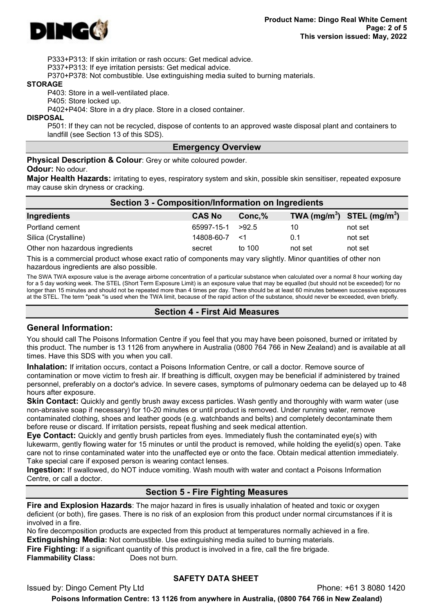

P333+P313: If skin irritation or rash occurs: Get medical advice.

P337+P313: If eye irritation persists: Get medical advice.

P370+P378: Not combustible. Use extinguishing media suited to burning materials.

#### **STORAGE**

P403: Store in a well-ventilated place.

P405: Store locked up.

P402+P404: Store in a dry place. Store in a closed container.

**DISPOSAL** 

P501: If they can not be recycled, dispose of contents to an approved waste disposal plant and containers to landfill (see Section 13 of this SDS).

### Emergency Overview

Physical Description & Colour: Grey or white coloured powder.

#### Odour: No odour.

Major Health Hazards: irritating to eyes, respiratory system and skin, possible skin sensitiser, repeated exposure may cause skin dryness or cracking.

| Section 3 - Composition/Information on Ingredients                                                                      |               |         |         |                                |  |
|-------------------------------------------------------------------------------------------------------------------------|---------------|---------|---------|--------------------------------|--|
| Ingredients                                                                                                             | <b>CAS No</b> | Conc, % |         | TWA $(mg/m^3)$ STEL $(mg/m^3)$ |  |
| Portland cement                                                                                                         | 65997-15-1    | >92.5   | 10      | not set                        |  |
| Silica (Crystalline)                                                                                                    | 14808-60-7    | <1      | 0.1     | not set                        |  |
| Other non hazardous ingredients                                                                                         | secret        | to 100  | not set | not set                        |  |
| ____<br>the contract of the contract of the contract of the contract of the contract of the contract of the contract of |               |         |         | .                              |  |

This is a commercial product whose exact ratio of components may vary slightly. Minor quantities of other non hazardous ingredients are also possible.

The SWA TWA exposure value is the average airborne concentration of a particular substance when calculated over a normal 8 hour working day for a 5 day working week. The STEL (Short Term Exposure Limit) is an exposure value that may be equalled (but should not be exceeded) for no longer than 15 minutes and should not be repeated more than 4 times per day. There should be at least 60 minutes between successive exposures at the STEL. The term "peak "is used when the TWA limit, because of the rapid action of the substance, should never be exceeded, even briefly.

## Section 4 - First Aid Measures

## General Information:

You should call The Poisons Information Centre if you feel that you may have been poisoned, burned or irritated by this product. The number is 13 1126 from anywhere in Australia (0800 764 766 in New Zealand) and is available at all times. Have this SDS with you when you call.

Inhalation: If irritation occurs, contact a Poisons Information Centre, or call a doctor. Remove source of contamination or move victim to fresh air. If breathing is difficult, oxygen may be beneficial if administered by trained personnel, preferably on a doctor's advice. In severe cases, symptoms of pulmonary oedema can be delayed up to 48 hours after exposure.

Skin Contact: Quickly and gently brush away excess particles. Wash gently and thoroughly with warm water (use non-abrasive soap if necessary) for 10-20 minutes or until product is removed. Under running water, remove contaminated clothing, shoes and leather goods (e.g. watchbands and belts) and completely decontaminate them before reuse or discard. If irritation persists, repeat flushing and seek medical attention.

Eye Contact: Quickly and gently brush particles from eyes. Immediately flush the contaminated eye(s) with lukewarm, gently flowing water for 15 minutes or until the product is removed, while holding the eyelid(s) open. Take care not to rinse contaminated water into the unaffected eye or onto the face. Obtain medical attention immediately. Take special care if exposed person is wearing contact lenses.

Ingestion: If swallowed, do NOT induce vomiting. Wash mouth with water and contact a Poisons Information Centre, or call a doctor.

## Section 5 - Fire Fighting Measures

Fire and Explosion Hazards: The major hazard in fires is usually inhalation of heated and toxic or oxygen deficient (or both), fire gases. There is no risk of an explosion from this product under normal circumstances if it is involved in a fire.

No fire decomposition products are expected from this product at temperatures normally achieved in a fire. Extinguishing Media: Not combustible. Use extinguishing media suited to burning materials.

**Fire Fighting:** If a significant quantity of this product is involved in a fire, call the fire brigade. Flammability Class: Does not burn.

## SAFETY DATA SHEET

Issued by: Dingo Cement Pty Ltd Phone: +61 3 8080 1420 Poisons Information Centre: 13 1126 from anywhere in Australia, (0800 764 766 in New Zealand)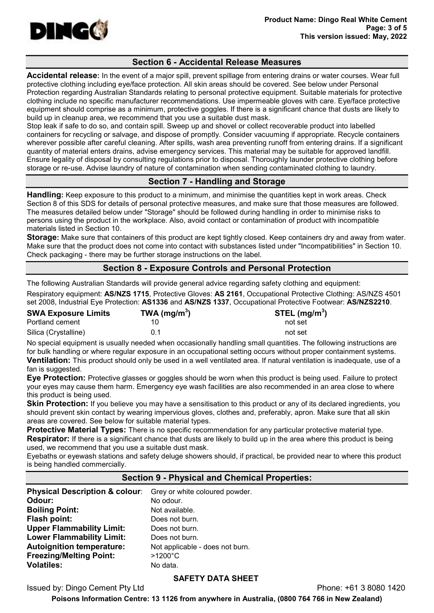

## Section 6 - Accidental Release Measures

Accidental release: In the event of a major spill, prevent spillage from entering drains or water courses. Wear full protective clothing including eye/face protection. All skin areas should be covered. See below under Personal Protection regarding Australian Standards relating to personal protective equipment. Suitable materials for protective clothing include no specific manufacturer recommendations. Use impermeable gloves with care. Eye/face protective equipment should comprise as a minimum, protective goggles. If there is a significant chance that dusts are likely to build up in cleanup area, we recommend that you use a suitable dust mask.

Stop leak if safe to do so, and contain spill. Sweep up and shovel or collect recoverable product into labelled containers for recycling or salvage, and dispose of promptly. Consider vacuuming if appropriate. Recycle containers wherever possible after careful cleaning. After spills, wash area preventing runoff from entering drains. If a significant quantity of material enters drains, advise emergency services. This material may be suitable for approved landfill. Ensure legality of disposal by consulting regulations prior to disposal. Thoroughly launder protective clothing before storage or re-use. Advise laundry of nature of contamination when sending contaminated clothing to laundry.

## Section 7 - Handling and Storage

Handling: Keep exposure to this product to a minimum, and minimise the quantities kept in work areas. Check Section 8 of this SDS for details of personal protective measures, and make sure that those measures are followed. The measures detailed below under "Storage" should be followed during handling in order to minimise risks to persons using the product in the workplace. Also, avoid contact or contamination of product with incompatible materials listed in Section 10.

Storage: Make sure that containers of this product are kept tightly closed. Keep containers dry and away from water. Make sure that the product does not come into contact with substances listed under "Incompatibilities" in Section 10. Check packaging - there may be further storage instructions on the label.

## Section 8 - Exposure Controls and Personal Protection

The following Australian Standards will provide general advice regarding safety clothing and equipment:

Respiratory equipment: AS/NZS 1715, Protective Gloves: AS 2161, Occupational Protective Clothing: AS/NZS 4501 set 2008, Industrial Eye Protection: AS1336 and AS/NZS 1337, Occupational Protective Footwear: AS/NZS2210.

| <b>SWA Exposure Limits</b> | TWA (mg/m <sup>3</sup> ) | STEL (mg/m $3)$ |
|----------------------------|--------------------------|-----------------|
| Portland cement            |                          | not set         |
| Silica (Crystalline)       | 0.1                      | not set         |

No special equipment is usually needed when occasionally handling small quantities. The following instructions are for bulk handling or where regular exposure in an occupational setting occurs without proper containment systems. Ventilation: This product should only be used in a well ventilated area. If natural ventilation is inadequate, use of a fan is suggested.

Eye Protection: Protective glasses or goggles should be worn when this product is being used. Failure to protect your eyes may cause them harm. Emergency eye wash facilities are also recommended in an area close to where this product is being used.

**Skin Protection:** If you believe you may have a sensitisation to this product or any of its declared ingredients, you should prevent skin contact by wearing impervious gloves, clothes and, preferably, apron. Make sure that all skin areas are covered. See below for suitable material types.

Protective Material Types: There is no specific recommendation for any particular protective material type. **Respirator:** If there is a significant chance that dusts are likely to build up in the area where this product is being used, we recommend that you use a suitable dust mask.

Eyebaths or eyewash stations and safety deluge showers should, if practical, be provided near to where this product is being handled commercially.

## Section 9 - Physical and Chemical Properties:

| Physical Description & colour: Grey or white coloured powder. |                                 |
|---------------------------------------------------------------|---------------------------------|
| Odour:                                                        | No odour.                       |
| <b>Boiling Point:</b>                                         | Not available.                  |
| Flash point:                                                  | Does not burn.                  |
| <b>Upper Flammability Limit:</b>                              | Does not burn.                  |
| <b>Lower Flammability Limit:</b>                              | Does not burn.                  |
| <b>Autoignition temperature:</b>                              | Not applicable - does not burn. |
| <b>Freezing/Melting Point:</b>                                | $>1200^{\circ}$ C               |
| <b>Volatiles:</b>                                             | No data.                        |

## SAFETY DATA SHEET

Issued by: Dingo Cement Pty Ltd Phone: +61 3 8080 1420

Poisons Information Centre: 13 1126 from anywhere in Australia, (0800 764 766 in New Zealand)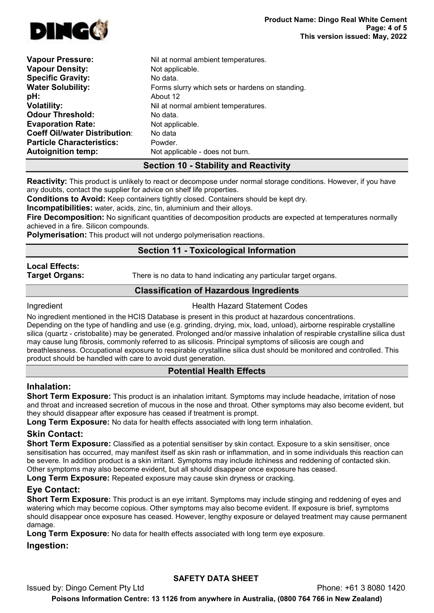

| <b>Vapour Density:</b><br>Not applicable.<br><b>Specific Gravity:</b><br>No data.<br><b>Water Solubility:</b><br>Forms slurry which sets or hardens on standing.<br>pH:<br>About 12<br><b>Volatility:</b><br>Nil at normal ambient temperatures.<br><b>Odour Threshold:</b><br>No data.<br><b>Evaporation Rate:</b><br>Not applicable.<br><b>Coeff Oil/water Distribution:</b><br>No data<br><b>Particle Characteristics:</b><br>Powder.<br><b>Autoignition temp:</b><br>Not applicable - does not burn. | <b>Vapour Pressure:</b> | Nil at normal ambient temperatures. |
|----------------------------------------------------------------------------------------------------------------------------------------------------------------------------------------------------------------------------------------------------------------------------------------------------------------------------------------------------------------------------------------------------------------------------------------------------------------------------------------------------------|-------------------------|-------------------------------------|
|                                                                                                                                                                                                                                                                                                                                                                                                                                                                                                          |                         |                                     |
|                                                                                                                                                                                                                                                                                                                                                                                                                                                                                                          |                         |                                     |
|                                                                                                                                                                                                                                                                                                                                                                                                                                                                                                          |                         |                                     |
|                                                                                                                                                                                                                                                                                                                                                                                                                                                                                                          |                         |                                     |
|                                                                                                                                                                                                                                                                                                                                                                                                                                                                                                          |                         |                                     |
|                                                                                                                                                                                                                                                                                                                                                                                                                                                                                                          |                         |                                     |
|                                                                                                                                                                                                                                                                                                                                                                                                                                                                                                          |                         |                                     |
|                                                                                                                                                                                                                                                                                                                                                                                                                                                                                                          |                         |                                     |
|                                                                                                                                                                                                                                                                                                                                                                                                                                                                                                          |                         |                                     |
|                                                                                                                                                                                                                                                                                                                                                                                                                                                                                                          |                         |                                     |

## Section 10 - Stability and Reactivity

Reactivity: This product is unlikely to react or decompose under normal storage conditions. However, if you have any doubts, contact the supplier for advice on shelf life properties.

Conditions to Avoid: Keep containers tightly closed. Containers should be kept dry.

**Incompatibilities:** water, acids, zinc, tin, aluminium and their alloys.

Fire Decomposition: No significant quantities of decomposition products are expected at temperatures normally achieved in a fire. Silicon compounds.

Polymerisation: This product will not undergo polymerisation reactions.

## Section 11 - Toxicological Information

# Local Effects:

**Target Organs:** There is no data to hand indicating any particular target organs.

## Classification of Hazardous Ingredients

**Ingredient Health Hazard Statement Codes** 

No ingredient mentioned in the HCIS Database is present in this product at hazardous concentrations. Depending on the type of handling and use (e.g. grinding, drying, mix, load, unload), airborne respirable crystalline silica (quartz - cristobalite) may be generated. Prolonged and/or massive inhalation of respirable crystalline silica dust may cause lung fibrosis, commonly referred to as silicosis. Principal symptoms of silicosis are cough and breathlessness. Occupational exposure to respirable crystalline silica dust should be monitored and controlled. This product should be handled with care to avoid dust generation.

## Potential Health Effects

## Inhalation:

Short Term Exposure: This product is an inhalation irritant. Symptoms may include headache, irritation of nose and throat and increased secretion of mucous in the nose and throat. Other symptoms may also become evident, but they should disappear after exposure has ceased if treatment is prompt.

Long Term Exposure: No data for health effects associated with long term inhalation.

## Skin Contact:

Short Term Exposure: Classified as a potential sensitiser by skin contact. Exposure to a skin sensitiser, once sensitisation has occurred, may manifest itself as skin rash or inflammation, and in some individuals this reaction can be severe. In addition product is a skin irritant. Symptoms may include itchiness and reddening of contacted skin. Other symptoms may also become evident, but all should disappear once exposure has ceased.

Long Term Exposure: Repeated exposure may cause skin dryness or cracking.

## Eye Contact:

Short Term Exposure: This product is an eye irritant. Symptoms may include stinging and reddening of eyes and watering which may become copious. Other symptoms may also become evident. If exposure is brief, symptoms should disappear once exposure has ceased. However, lengthy exposure or delayed treatment may cause permanent damage.

**Long Term Exposure:** No data for health effects associated with long term eye exposure.

## Ingestion:

Issued by: Dingo Cement Pty Ltd Phone: +61 3 8080 1420 Poisons Information Centre: 13 1126 from anywhere in Australia, (0800 764 766 in New Zealand)